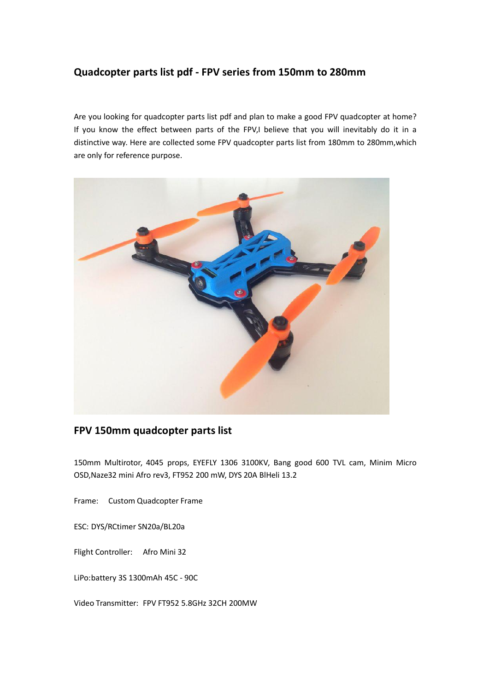# **Quadcopter parts list pdf - FPV series from 150mm to 280mm**

Are you looking for quadcopter parts list pdf and plan to make a good FPV quadcopter at home? If you know the effect between parts of the FPV,I believe that you will inevitably do it in a distinctive way. Here are collected some FPV quadcopter parts list from 180mm to 280mm,which are only for reference purpose.



# **FPV 150mm quadcopter parts list**

150mm Multirotor, 4045 props, EYEFLY 1306 3100KV, Bang good 600 TVL cam, Minim Micro OSD,Naze32 mini Afro rev3, FT952 200 mW, DYS 20A BlHeli 13.2

Frame: Custom Quadcopter Frame

ESC: DYS/RCtimer SN20a/BL20a

Flight Controller: Afro Mini 32

LiPo:battery 3S 1300mAh 45C - 90C

Video Transmitter: FPV FT952 5.8GHz 32CH 200MW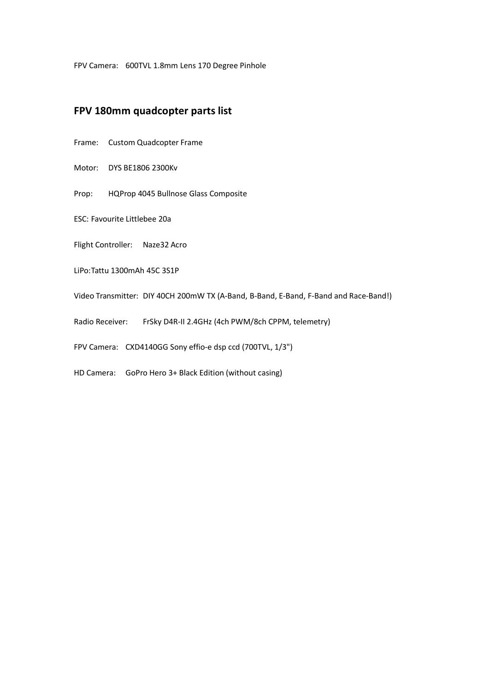FPV Camera: 600TVL 1.8mm Lens 170 Degree Pinhole

#### **FPV 180mm quadcopter parts list**

- Frame: Custom Quadcopter Frame
- Motor: DYS BE1806 2300Kv
- Prop: HQProp 4045 Bullnose Glass Composite
- ESC: Favourite Littlebee 20a
- Flight Controller: Naze32 Acro
- LiPo:Tattu 1300mAh 45C 3S1P
- Video Transmitter: DIY 40CH 200mW TX (A-Band, B-Band, E-Band, F-Band and Race-Band!)
- Radio Receiver: FrSky D4R-II 2.4GHz (4ch PWM/8ch CPPM, telemetry)
- FPV Camera: CXD4140GG Sony effio-e dsp ccd (700TVL, 1/3")
- HD Camera: GoPro Hero 3+ Black Edition (without casing)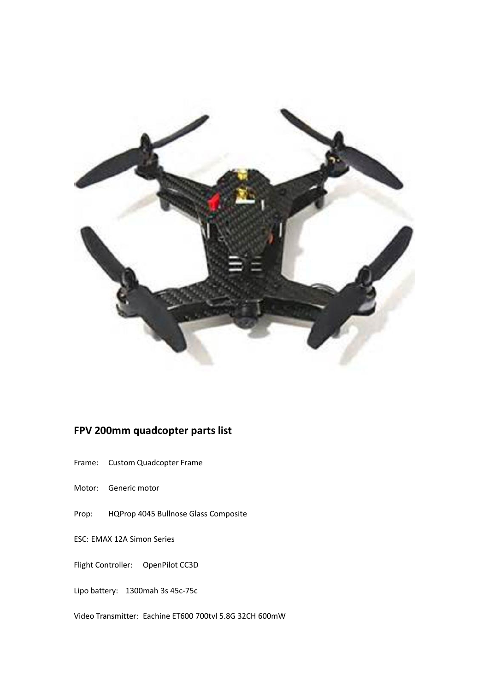

# **FPV 200mm quadcopter parts list**

- Frame: Custom Quadcopter Frame
- Motor: Generic motor
- Prop: HQProp 4045 Bullnose Glass Composite
- ESC: EMAX 12A Simon Series

#### Flight Controller: OpenPilot CC3D

Lipo battery: 1300mah 3s 45c-75c

Video Transmitter: Eachine ET600 700tvl 5.8G 32CH 600mW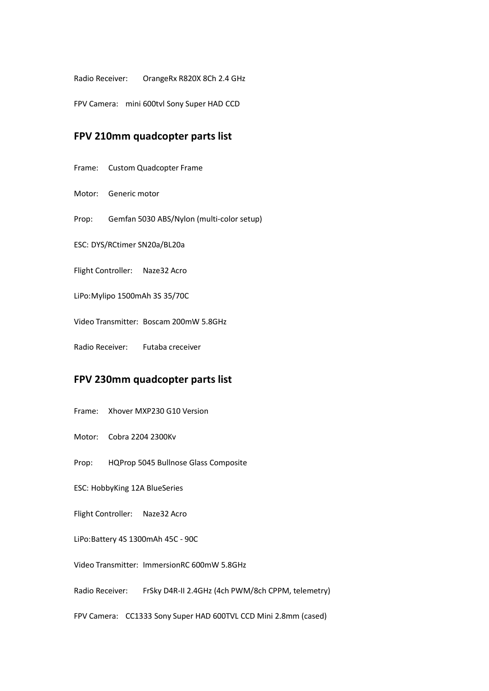Radio Receiver: OrangeRx R820X 8Ch 2.4 GHz

FPV Camera: mini 600tvl Sony Super HAD CCD

## **FPV 210mm quadcopter parts list**

- Frame: Custom Quadcopter Frame
- Motor: Generic motor
- Prop: Gemfan 5030 ABS/Nylon (multi-color setup)
- ESC: DYS/RCtimer SN20a/BL20a
- Flight Controller: Naze32 Acro
- LiPo: Mylipo 1500mAh 3S 35/70C
- Video Transmitter: Boscam 200mW 5.8GHz
- Radio Receiver: Futaba creceiver

### **FPV 230mm quadcopter parts list**

- Frame: Xhover MXP230 G10 Version
- Motor: Cobra 2204 2300Kv
- Prop: HQProp 5045 Bullnose Glass Composite
- ESC: HobbyKing 12A BlueSeries
- Flight Controller: Naze32 Acro
- LiPo:Battery 4S 1300mAh 45C 90C
- Video Transmitter: ImmersionRC 600mW 5.8GHz
- Radio Receiver: FrSky D4R-II 2.4GHz (4ch PWM/8ch CPPM, telemetry)
- FPV Camera: CC1333 Sony Super HAD 600TVL CCD Mini 2.8mm (cased)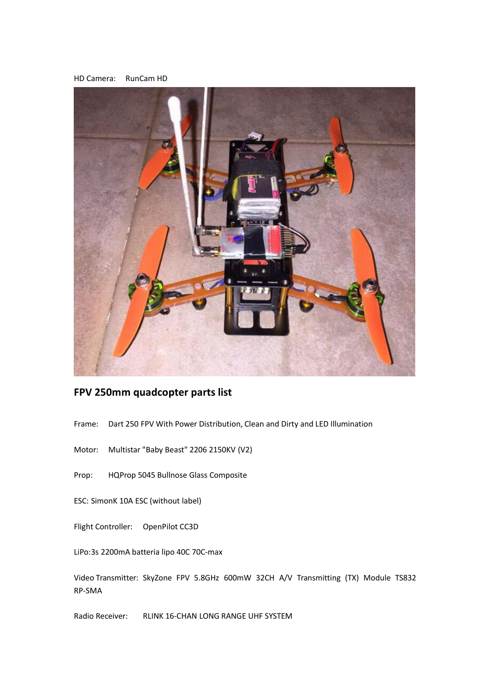



# **FPV 250mm quadcopter parts list**

- Frame: Dart 250 FPV With Power Distribution, Clean and Dirty and LED Illumination
- Motor: Multistar "Baby Beast" 2206 2150KV (V2)
- Prop: HQProp 5045 Bullnose Glass Composite
- ESC: SimonK 10A ESC (without label)
- Flight Controller: OpenPilot CC3D
- LiPo:3s 2200mA batteria lipo 40C 70C-max

Video Transmitter: SkyZone FPV 5.8GHz 600mW 32CH A/V Transmitting (TX) Module TS832 RP-SMA

Radio Receiver: RLINK 16-CHAN LONG RANGE UHF SYSTEM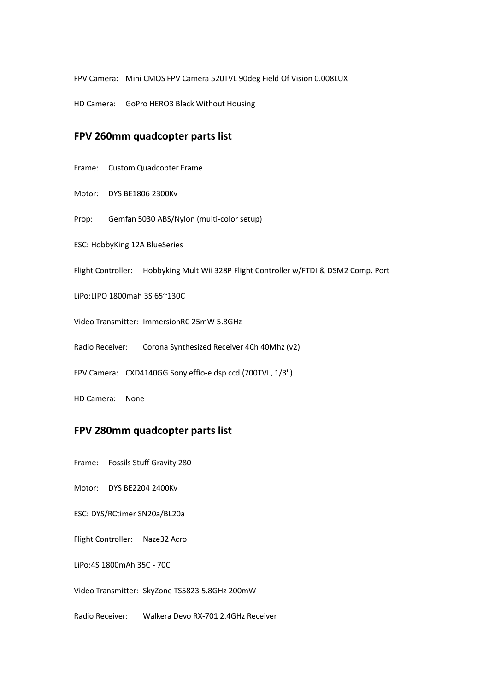FPV Camera: Mini CMOS FPV Camera 520TVL 90deg Field Of Vision 0.008LUX

HD Camera: GoPro HERO3 Black Without Housing

#### **FPV 260mm quadcopter parts list**

Frame: Custom Quadcopter Frame

Motor: DYS BE1806 2300Kv

Prop: Gemfan 5030 ABS/Nylon (multi-color setup)

ESC: HobbyKing 12A BlueSeries

Flight Controller: Hobbyking MultiWii 328P Flight Controller w/FTDI & DSM2 Comp. Port

LiPo:LIPO 1800mah 3S 65~130C

Video Transmitter: ImmersionRC 25mW 5.8GHz

Radio Receiver: Corona Synthesized Receiver 4Ch 40Mhz (v2)

FPV Camera: CXD4140GG Sony effio-e dsp ccd (700TVL, 1/3")

HD Camera: None

#### **FPV 280mm quadcopter parts list**

Frame: Fossils Stuff Gravity 280

Motor: DYS BE2204 2400Kv

ESC: DYS/RCtimer SN20a/BL20a

Flight Controller: Naze32 Acro

LiPo:4S 1800mAh 35C - 70C

Video Transmitter: SkyZone TS5823 5.8GHz 200mW

Radio Receiver: Walkera Devo RX-701 2.4GHz Receiver